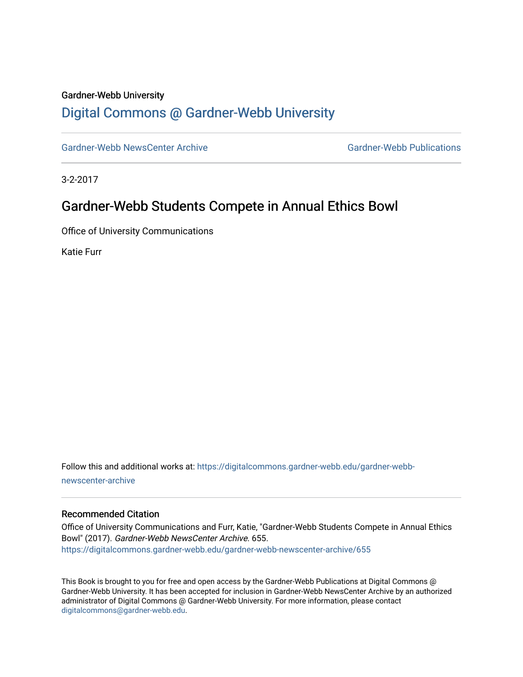#### Gardner-Webb University

## [Digital Commons @ Gardner-Webb University](https://digitalcommons.gardner-webb.edu/)

[Gardner-Webb NewsCenter Archive](https://digitalcommons.gardner-webb.edu/gardner-webb-newscenter-archive) Gardner-Webb Publications

3-2-2017

## Gardner-Webb Students Compete in Annual Ethics Bowl

Office of University Communications

Katie Furr

Follow this and additional works at: [https://digitalcommons.gardner-webb.edu/gardner-webb](https://digitalcommons.gardner-webb.edu/gardner-webb-newscenter-archive?utm_source=digitalcommons.gardner-webb.edu%2Fgardner-webb-newscenter-archive%2F655&utm_medium=PDF&utm_campaign=PDFCoverPages)[newscenter-archive](https://digitalcommons.gardner-webb.edu/gardner-webb-newscenter-archive?utm_source=digitalcommons.gardner-webb.edu%2Fgardner-webb-newscenter-archive%2F655&utm_medium=PDF&utm_campaign=PDFCoverPages)

#### Recommended Citation

Office of University Communications and Furr, Katie, "Gardner-Webb Students Compete in Annual Ethics Bowl" (2017). Gardner-Webb NewsCenter Archive. 655. [https://digitalcommons.gardner-webb.edu/gardner-webb-newscenter-archive/655](https://digitalcommons.gardner-webb.edu/gardner-webb-newscenter-archive/655?utm_source=digitalcommons.gardner-webb.edu%2Fgardner-webb-newscenter-archive%2F655&utm_medium=PDF&utm_campaign=PDFCoverPages)

This Book is brought to you for free and open access by the Gardner-Webb Publications at Digital Commons @ Gardner-Webb University. It has been accepted for inclusion in Gardner-Webb NewsCenter Archive by an authorized administrator of Digital Commons @ Gardner-Webb University. For more information, please contact [digitalcommons@gardner-webb.edu](mailto:digitalcommons@gardner-webb.edu).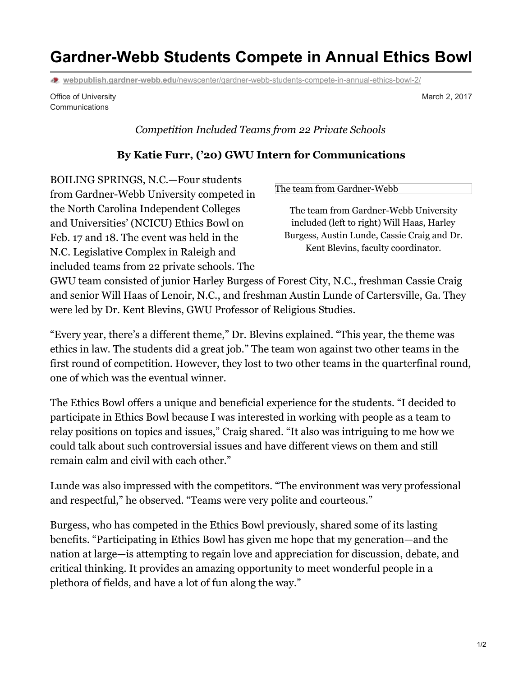# **Gardner-Webb Students Compete in Annual Ethics Bowl**

**webpublish.gardner-webb.edu**[/newscenter/gardner-webb-students-compete-in-annual-ethics-bowl-2/](https://webpublish.gardner-webb.edu/newscenter/gardner-webb-students-compete-in-annual-ethics-bowl-2/)

Office of University **Communications** 

*Competition Included Teams from 22 Private Schools*

### **By Katie Furr, ('20) GWU Intern for Communications**

BOILING SPRINGS, N.C.—Four students from Gardner-Webb University competed in the North Carolina Independent Colleges and Universities' (NCICU) Ethics Bowl on Feb. 17 and 18. The event was held in the N.C. Legislative Complex in Raleigh and included teams from 22 private schools. The

The team from [Gardner-Webb](https://webpublish.gardner-webb.edu/newscenter/gardner-webb-students-compete-in-annual-ethics-bowl-2/gwu-ethics-bowl-team/)

The team from Gardner-Webb University included (left to right) Will Haas, Harley Burgess, Austin Lunde, Cassie Craig and Dr. Kent Blevins, faculty coordinator.

GWU team consisted of junior Harley Burgess of Forest City, N.C., freshman Cassie Craig and senior Will Haas of Lenoir, N.C., and freshman Austin Lunde of Cartersville, Ga. They were led by Dr. Kent Blevins, GWU Professor of Religious Studies.

"Every year, there's a different theme," Dr. Blevins explained. "This year, the theme was ethics in law. The students did a great job." The team won against two other teams in the first round of competition. However, they lost to two other teams in the quarterfinal round, one of which was the eventual winner.

The Ethics Bowl offers a unique and beneficial experience for the students. "I decided to participate in Ethics Bowl because I was interested in working with people as a team to relay positions on topics and issues," Craig shared. "It also was intriguing to me how we could talk about such controversial issues and have different views on them and still remain calm and civil with each other."

Lunde was also impressed with the competitors. "The environment was very professional and respectful," he observed. "Teams were very polite and courteous."

Burgess, who has competed in the Ethics Bowl previously, shared some of its lasting benefits. "Participating in Ethics Bowl has given me hope that my generation—and the nation at large—is attempting to regain love and appreciation for discussion, debate, and critical thinking. It provides an amazing opportunity to meet wonderful people in a plethora of fields, and have a lot of fun along the way."

March 2, 2017